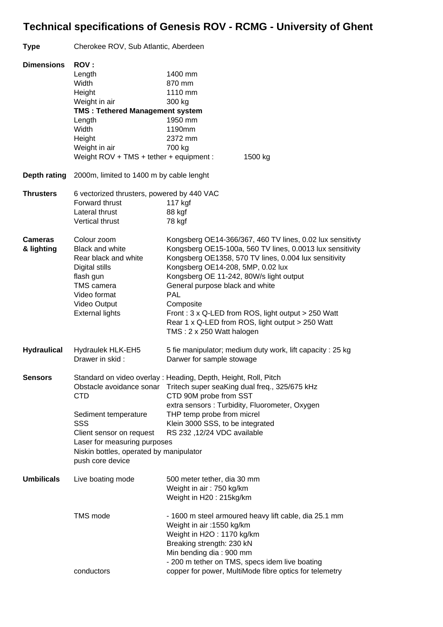## **Technical specifications of Genesis ROV - RCMG - University of Ghent**

## **Type** Cherokee ROV, Sub Atlantic, Aberdeen **Dimensions ROV :**  Length 1400 mm Width 870 mm Height 1110 mm Weight in air 300 kg **TMS : Tethered Management system** Length 1950 mm Width 1190mm Height 2372 mm Weight in air 700 kg Weight ROV + TMS + tether + equipment : 1500 kg **Depth rating** 2000m, limited to 1400 m by cable lenght **Thrusters** 6 vectorized thrusters, powered by 440 VAC Forward thrust 117 kgf Lateral thrust 88 kgf Vertical thrust 78 kgf **Cameras** Colour zoom Kongsberg OE14-366/367, 460 TV lines, 0.02 lux sensitivty **& lighting** Black and white Kongsberg OE15-100a, 560 TV lines, 0.0013 lux sensitivity Rear black and white Kongsberg OE1358, 570 TV lines, 0.004 lux sensitivity Digital stills **Kongsberg OE14-208, 5MP, 0.02 lux** flash gun Kongsberg OE 11-242, 80W/s light output TMS camera General purpose black and white Video format PAL Video Output Composite External lights Front : 3 x Q-LED from ROS, light output > 250 Watt Rear 1 x Q-LED from ROS, light output > 250 Watt TMS : 2 x 250 Watt halogen **Hydraulical** Hydraulek HLK-EH5 5 fie manipulator; medium duty work, lift capacity : 25 kg Drawer in skid : Darwer for sample stowage **Sensors** Standard on video overlay : Heading, Depth, Height, Roll, Pitch Obstacle avoidance sonar Tritech super seaKing dual freq., 325/675 kHz CTD CTD 90M probe from SST extra sensors : Turbidity, Fluorometer, Oxygen Sediment temperature THP temp probe from micrel SSS Klein 3000 SSS, to be integrated Client sensor on request RS 232 ,12/24 VDC available Laser for measuring purposes Niskin bottles, operated by manipulator push core device **Umbilicals** Live boating mode 500 meter tether, dia 30 mm Weight in air : 750 kg/km Weight in H20 : 215kg/km TMS mode - 1600 m steel armoured heavy lift cable, dia 25.1 mm Weight in air :1550 kg/km Weight in H2O : 1170 kg/km Breaking strength: 230 kN Min bending dia : 900 mm - 200 m tether on TMS, specs idem live boating conductors copper for power, MultiMode fibre optics for telemetry